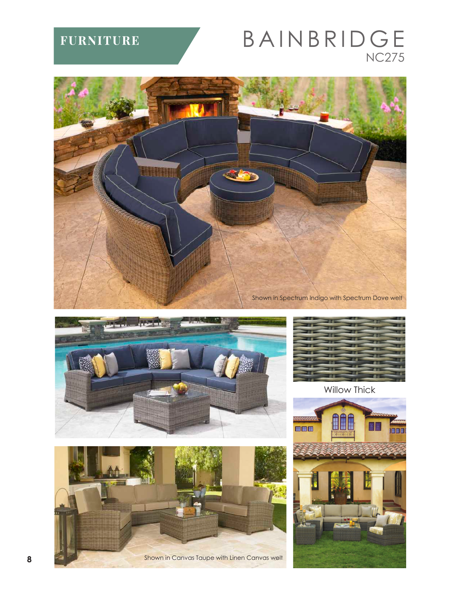## **FURNITURE**

## BAINBRIDGE **NC275**







Shown in Canvas Taupe with Linen Canvas welt



**Willow Thick**